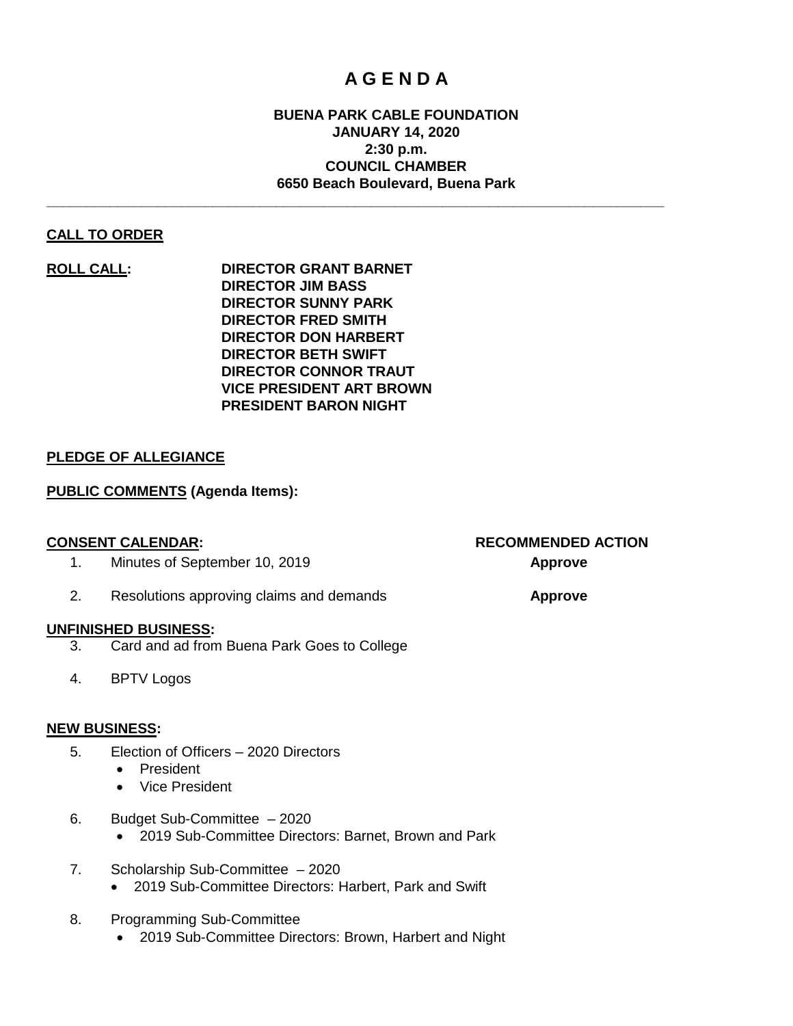### **A G E N D A**

#### **BUENA PARK CABLE FOUNDATION JANUARY 14, 2020 2:30 p.m. COUNCIL CHAMBER 6650 Beach Boulevard, Buena Park**

**\_\_\_\_\_\_\_\_\_\_\_\_\_\_\_\_\_\_\_\_\_\_\_\_\_\_\_\_\_\_\_\_\_\_\_\_\_\_\_\_\_\_\_\_\_\_\_\_\_\_\_\_\_\_\_\_\_\_\_\_\_\_\_\_\_\_\_\_\_\_\_\_\_\_\_\_\_\_**

#### **CALL TO ORDER**

**ROLL CALL: DIRECTOR GRANT BARNET DIRECTOR JIM BASS DIRECTOR SUNNY PARK DIRECTOR FRED SMITH DIRECTOR DON HARBERT DIRECTOR BETH SWIFT DIRECTOR CONNOR TRAUT VICE PRESIDENT ART BROWN PRESIDENT BARON NIGHT**

#### **PLEDGE OF ALLEGIANCE**

#### **PUBLIC COMMENTS (Agenda Items):**

- 1. Minutes of September 10, 2019 **Approve**
- 2. Resolutions approving claims and demands **Approve**

#### **UNFINISHED BUSINESS:**

- 3. Card and ad from Buena Park Goes to College
- 4. BPTV Logos

#### **NEW BUSINESS:**

- 5. Election of Officers 2020 Directors
	- President
	- Vice President
- 6. Budget Sub-Committee 2020
	- 2019 Sub-Committee Directors: Barnet, Brown and Park
- 7. Scholarship Sub-Committee 2020 • 2019 Sub-Committee Directors: Harbert, Park and Swift
- 8. Programming Sub-Committee
	- 2019 Sub-Committee Directors: Brown, Harbert and Night

# **CONSENT CALENDAR: RECOMMENDED ACTION**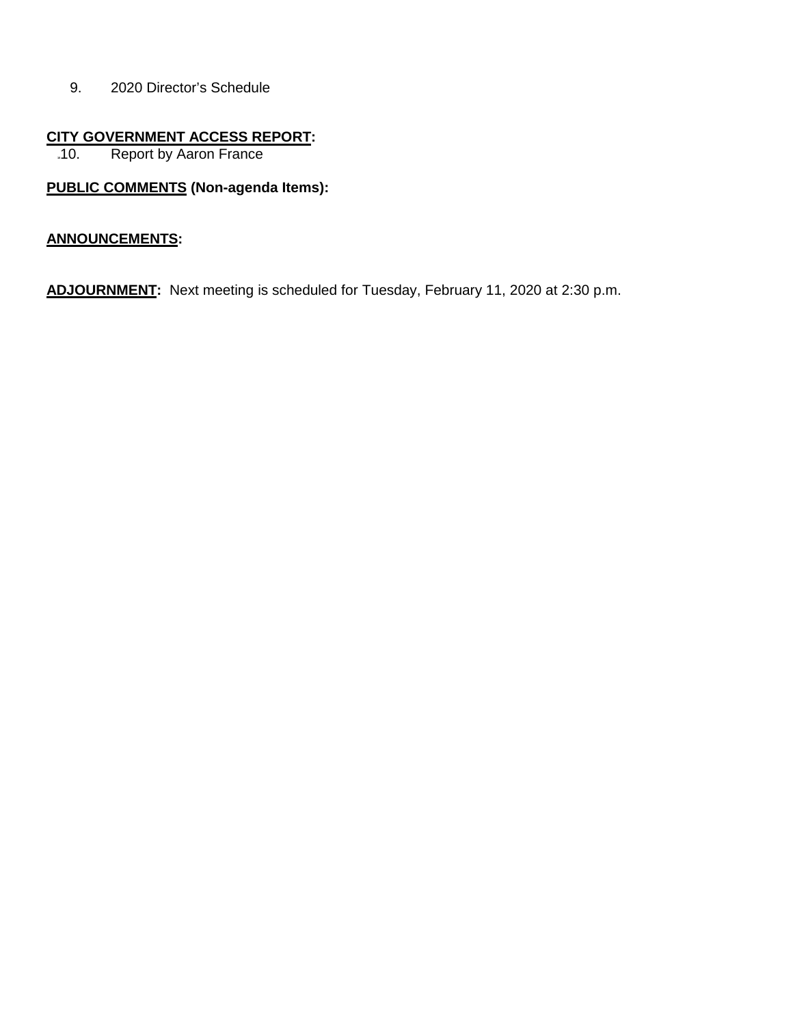9. 2020 Director's Schedule

## **CITY GOVERNMENT ACCESS REPORT:**<br>.10. Report by Aaron France

**Report by Aaron France** 

### **PUBLIC COMMENTS (Non-agenda Items):**

#### **ANNOUNCEMENTS:**

**ADJOURNMENT:** Next meeting is scheduled for Tuesday, February 11, 2020 at 2:30 p.m.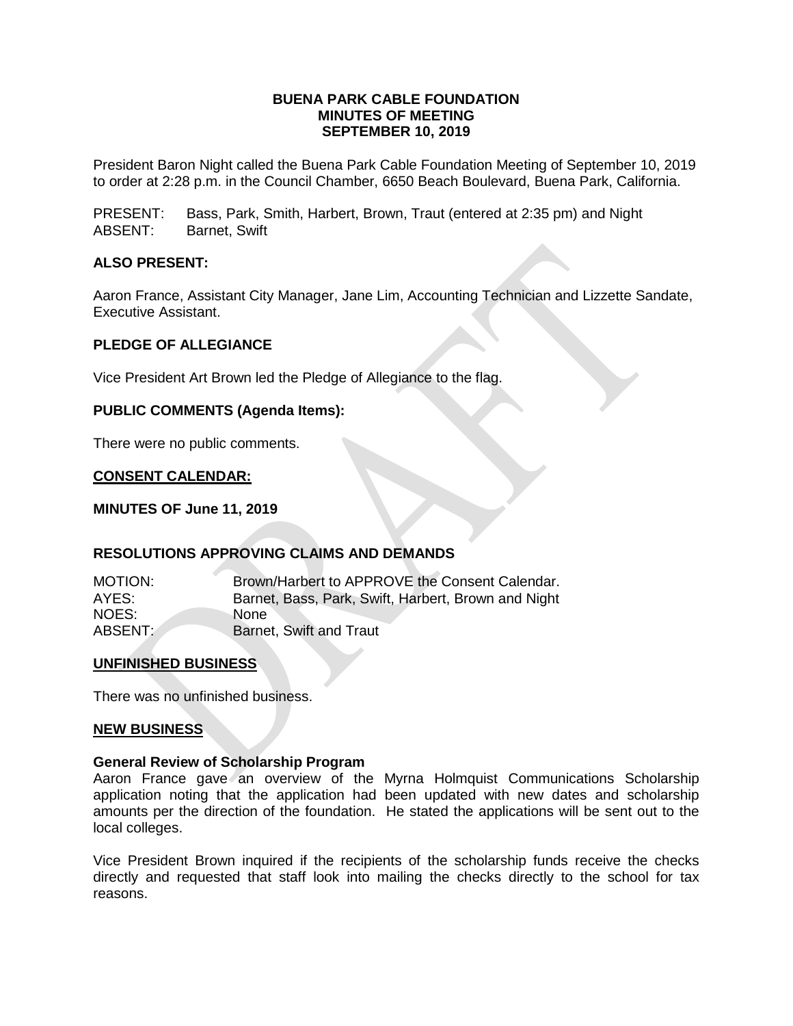#### **BUENA PARK CABLE FOUNDATION MINUTES OF MEETING SEPTEMBER 10, 2019**

President Baron Night called the Buena Park Cable Foundation Meeting of September 10, 2019 to order at 2:28 p.m. in the Council Chamber, 6650 Beach Boulevard, Buena Park, California.

PRESENT: Bass, Park, Smith, Harbert, Brown, Traut (entered at 2:35 pm) and Night ABSENT: Barnet, Swift

#### **ALSO PRESENT:**

Aaron France, Assistant City Manager, Jane Lim, Accounting Technician and Lizzette Sandate, Executive Assistant.

#### **PLEDGE OF ALLEGIANCE**

Vice President Art Brown led the Pledge of Allegiance to the flag.

#### **PUBLIC COMMENTS (Agenda Items):**

There were no public comments.

#### **CONSENT CALENDAR:**

#### **MINUTES OF June 11, 2019**

#### **RESOLUTIONS APPROVING CLAIMS AND DEMANDS**

| <b>MOTION:</b> | Brown/Harbert to APPROVE the Consent Calendar.      |
|----------------|-----------------------------------------------------|
| AYES:          | Barnet, Bass, Park, Swift, Harbert, Brown and Night |
| NOES:          | None.                                               |
| ABSENT:        | <b>Barnet, Swift and Traut</b>                      |

#### **UNFINISHED BUSINESS**

There was no unfinished business.

#### **NEW BUSINESS**

#### **General Review of Scholarship Program**

Aaron France gave an overview of the Myrna Holmquist Communications Scholarship application noting that the application had been updated with new dates and scholarship amounts per the direction of the foundation. He stated the applications will be sent out to the local colleges.

Vice President Brown inquired if the recipients of the scholarship funds receive the checks directly and requested that staff look into mailing the checks directly to the school for tax reasons.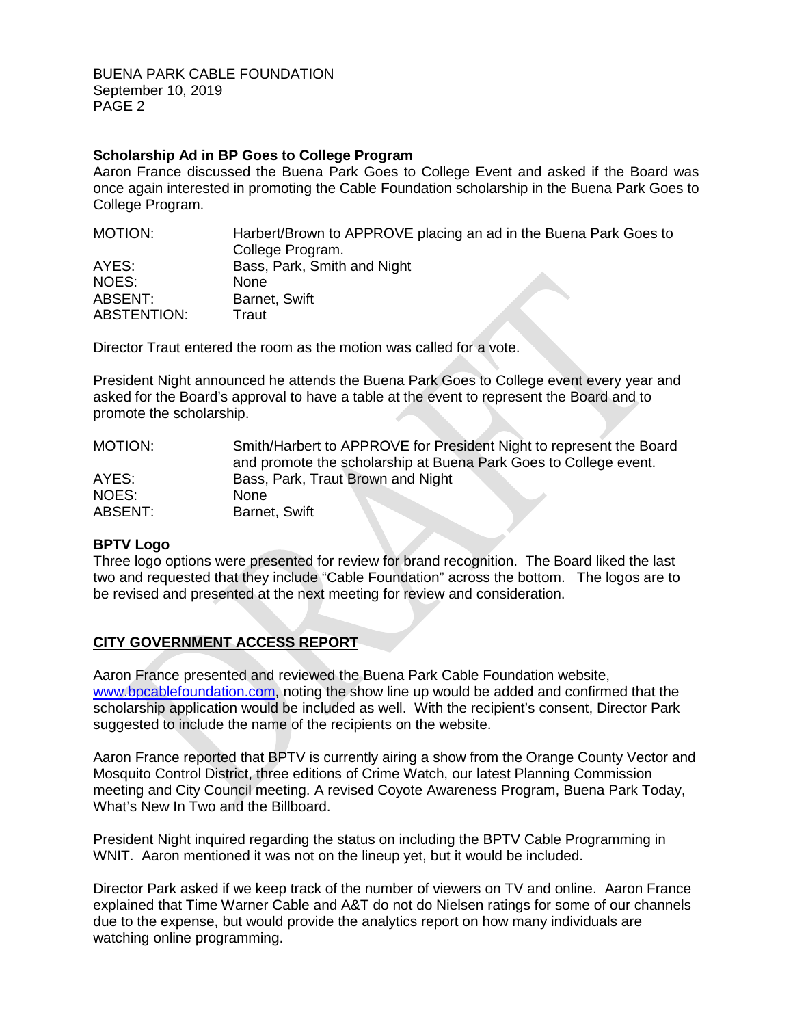BUENA PARK CABLE FOUNDATION September 10, 2019 PAGE 2

#### **Scholarship Ad in BP Goes to College Program**

Aaron France discussed the Buena Park Goes to College Event and asked if the Board was once again interested in promoting the Cable Foundation scholarship in the Buena Park Goes to College Program.

| MOTION:            | Harbert/Brown to APPROVE placing an ad in the Buena Park Goes to |  |
|--------------------|------------------------------------------------------------------|--|
|                    | College Program.                                                 |  |
| AYES:              | Bass, Park, Smith and Night                                      |  |
| NOES:              | <b>None</b>                                                      |  |
| ABSENT:            | Barnet, Swift                                                    |  |
| <b>ABSTENTION:</b> | Traut                                                            |  |

Director Traut entered the room as the motion was called for a vote.

President Night announced he attends the Buena Park Goes to College event every year and asked for the Board's approval to have a table at the event to represent the Board and to promote the scholarship.

| MOTION: | Smith/Harbert to APPROVE for President Night to represent the Board |
|---------|---------------------------------------------------------------------|
|         | and promote the scholarship at Buena Park Goes to College event.    |
| AYES:   | Bass, Park, Traut Brown and Night                                   |
| NOES:   | <b>None</b>                                                         |
| ABSENT: | Barnet, Swift                                                       |

#### **BPTV Logo**

Three logo options were presented for review for brand recognition. The Board liked the last two and requested that they include "Cable Foundation" across the bottom. The logos are to be revised and presented at the next meeting for review and consideration.

#### **CITY GOVERNMENT ACCESS REPORT**

Aaron France presented and reviewed the Buena Park Cable Foundation website, [www.bpcablefoundation.com,](http://www.bpcablefoundation.com/) noting the show line up would be added and confirmed that the scholarship application would be included as well. With the recipient's consent, Director Park suggested to include the name of the recipients on the website.

Aaron France reported that BPTV is currently airing a show from the Orange County Vector and Mosquito Control District, three editions of Crime Watch, our latest Planning Commission meeting and City Council meeting. A revised Coyote Awareness Program, Buena Park Today, What's New In Two and the Billboard.

President Night inquired regarding the status on including the BPTV Cable Programming in WNIT. Aaron mentioned it was not on the lineup yet, but it would be included.

Director Park asked if we keep track of the number of viewers on TV and online. Aaron France explained that Time Warner Cable and A&T do not do Nielsen ratings for some of our channels due to the expense, but would provide the analytics report on how many individuals are watching online programming.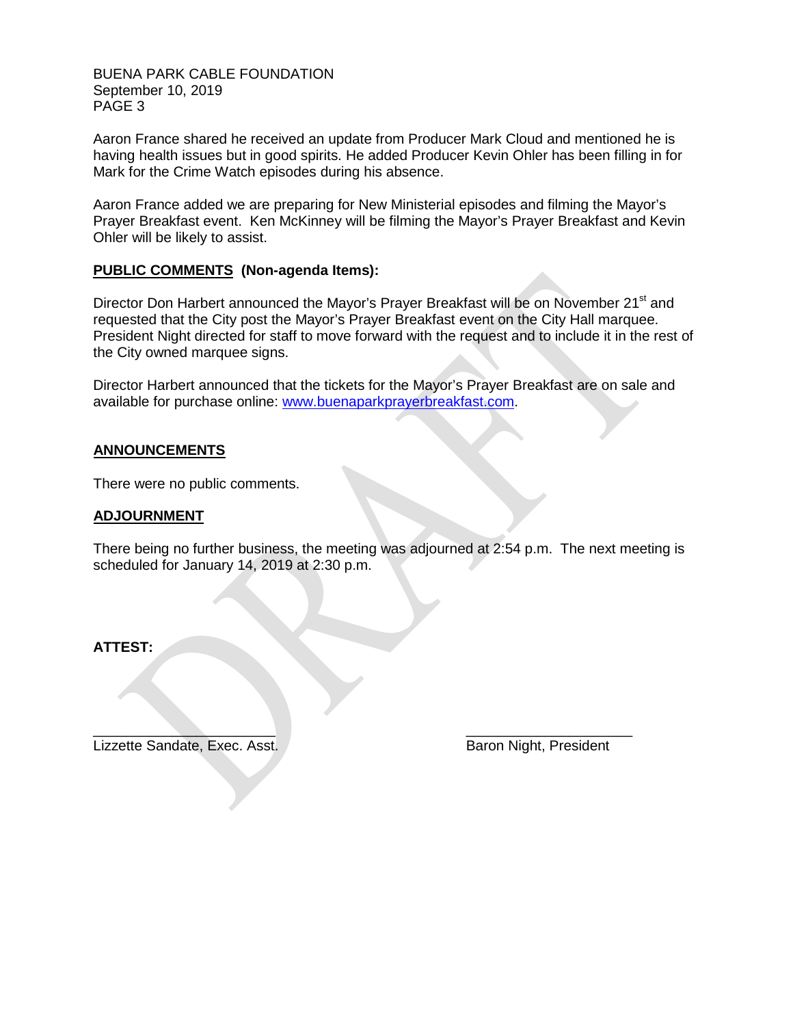BUENA PARK CABLE FOUNDATION September 10, 2019 PAGE 3

Aaron France shared he received an update from Producer Mark Cloud and mentioned he is having health issues but in good spirits. He added Producer Kevin Ohler has been filling in for Mark for the Crime Watch episodes during his absence.

Aaron France added we are preparing for New Ministerial episodes and filming the Mayor's Prayer Breakfast event. Ken McKinney will be filming the Mayor's Prayer Breakfast and Kevin Ohler will be likely to assist.

#### **PUBLIC COMMENTS (Non-agenda Items):**

Director Don Harbert announced the Mayor's Prayer Breakfast will be on November 21<sup>st</sup> and requested that the City post the Mayor's Prayer Breakfast event on the City Hall marquee. President Night directed for staff to move forward with the request and to include it in the rest of the City owned marquee signs.

Director Harbert announced that the tickets for the Mayor's Prayer Breakfast are on sale and available for purchase online: [www.buenaparkprayerbreakfast.com.](http://www.buenaparkprayerbreakfast.com/)

#### **ANNOUNCEMENTS**

There were no public comments.

#### **ADJOURNMENT**

There being no further business, the meeting was adjourned at 2:54 p.m. The next meeting is scheduled for January 14, 2019 at 2:30 p.m.

**ATTEST:**

Lizzette Sandate, Exec. Asst. Baron Night, President

 $\overline{\phantom{a}}$  , and the contract of the contract of the contract of the contract of the contract of the contract of the contract of the contract of the contract of the contract of the contract of the contract of the contrac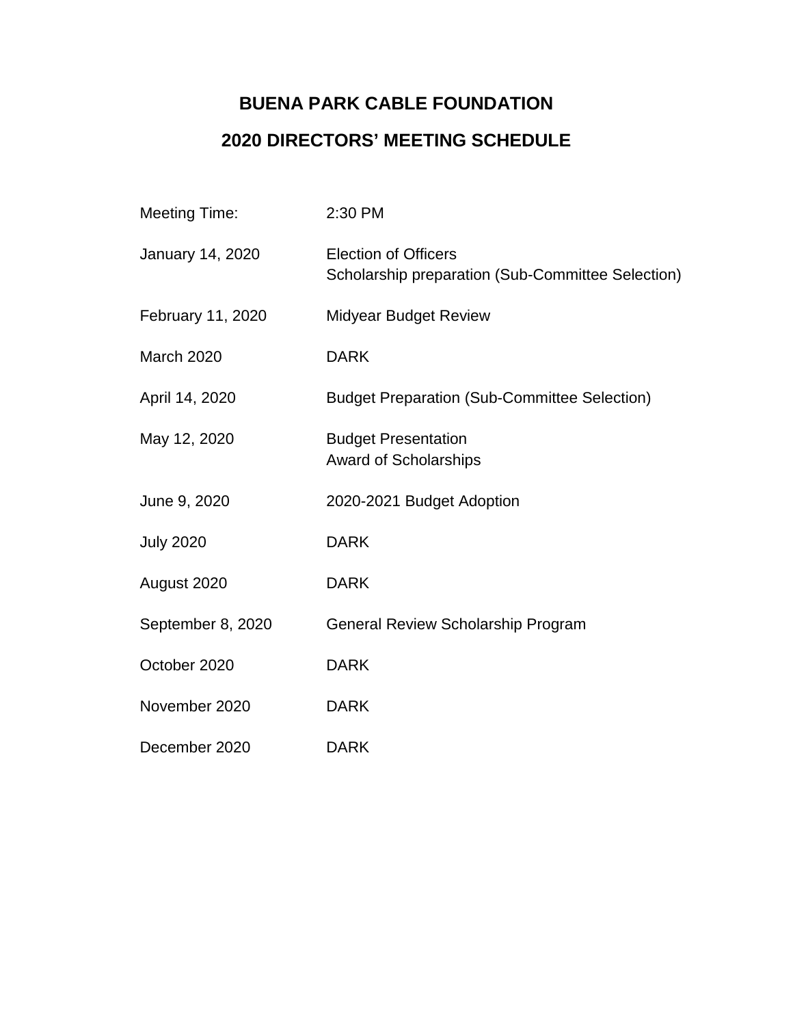### **BUENA PARK CABLE FOUNDATION 2020 DIRECTORS' MEETING SCHEDULE**

| <b>Meeting Time:</b> | 2:30 PM                                                                          |
|----------------------|----------------------------------------------------------------------------------|
| January 14, 2020     | <b>Election of Officers</b><br>Scholarship preparation (Sub-Committee Selection) |
| February 11, 2020    | <b>Midyear Budget Review</b>                                                     |
| <b>March 2020</b>    | <b>DARK</b>                                                                      |
| April 14, 2020       | <b>Budget Preparation (Sub-Committee Selection)</b>                              |
| May 12, 2020         | <b>Budget Presentation</b><br><b>Award of Scholarships</b>                       |
| June 9, 2020         | 2020-2021 Budget Adoption                                                        |
| <b>July 2020</b>     | <b>DARK</b>                                                                      |
| August 2020          | <b>DARK</b>                                                                      |
| September 8, 2020    | General Review Scholarship Program                                               |
| October 2020         | <b>DARK</b>                                                                      |
| November 2020        | <b>DARK</b>                                                                      |
| December 2020        | <b>DARK</b>                                                                      |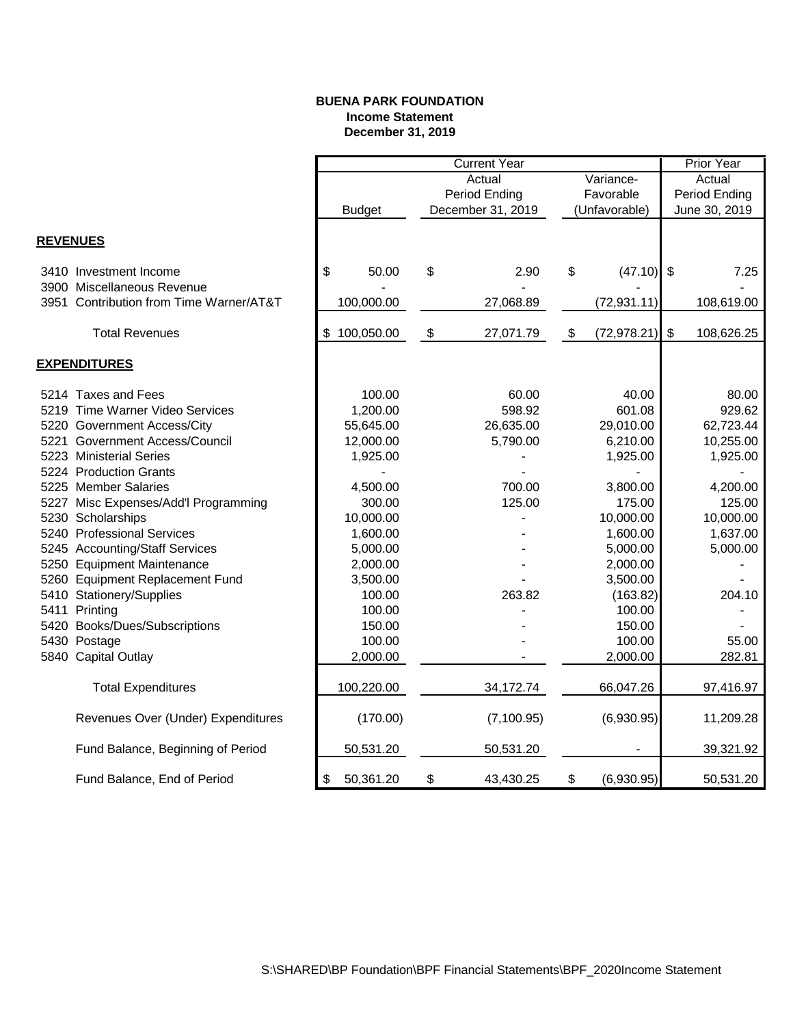#### **BUENA PARK FOUNDATION Income Statement December 31, 2019**

|                 |                                                                  |                  | <b>Current Year</b>     |                   |                         |               |               | Prior Year |  |
|-----------------|------------------------------------------------------------------|------------------|-------------------------|-------------------|-------------------------|---------------|---------------|------------|--|
|                 |                                                                  |                  | Actual<br>Variance-     |                   |                         |               |               | Actual     |  |
|                 |                                                                  |                  |                         | Period Ending     | Favorable               |               | Period Ending |            |  |
|                 |                                                                  | <b>Budget</b>    |                         | December 31, 2019 |                         | (Unfavorable) | June 30, 2019 |            |  |
|                 |                                                                  |                  |                         |                   |                         |               |               |            |  |
| <b>REVENUES</b> |                                                                  |                  |                         |                   |                         |               |               |            |  |
|                 | 3410 Investment Income                                           | \$<br>50.00      | \$                      | 2.90              | \$                      | $(47.10)$ \$  |               | 7.25       |  |
| 3951            | 3900 Miscellaneous Revenue<br>Contribution from Time Warner/AT&T | 100,000.00       |                         | 27,068.89         |                         | (72, 931.11)  |               | 108,619.00 |  |
|                 | <b>Total Revenues</b>                                            | 100,050.00<br>\$ | $\sqrt[6]{\frac{1}{2}}$ | 27,071.79         | $\sqrt[6]{\frac{1}{2}}$ | (72, 978.21)  | $\sqrt[6]{3}$ | 108,626.25 |  |
|                 |                                                                  |                  |                         |                   |                         |               |               |            |  |
|                 | <b>EXPENDITURES</b>                                              |                  |                         |                   |                         |               |               |            |  |
|                 | 5214 Taxes and Fees                                              | 100.00           |                         | 60.00             |                         | 40.00         |               | 80.00      |  |
|                 | 5219 Time Warner Video Services                                  | 1,200.00         |                         | 598.92            |                         | 601.08        |               | 929.62     |  |
|                 | 5220 Government Access/City                                      | 55,645.00        |                         | 26,635.00         |                         | 29,010.00     |               | 62,723.44  |  |
|                 | 5221 Government Access/Council                                   | 12,000.00        |                         | 5,790.00          |                         | 6,210.00      |               | 10,255.00  |  |
|                 | 5223 Ministerial Series                                          | 1,925.00         |                         |                   |                         | 1,925.00      |               | 1,925.00   |  |
|                 | 5224 Production Grants                                           |                  |                         |                   |                         |               |               |            |  |
|                 | 5225 Member Salaries                                             | 4,500.00         |                         | 700.00            |                         | 3,800.00      |               | 4,200.00   |  |
|                 | 5227 Misc Expenses/Add'l Programming                             | 300.00           |                         | 125.00            |                         | 175.00        |               | 125.00     |  |
|                 | 5230 Scholarships                                                | 10,000.00        |                         |                   |                         | 10,000.00     |               | 10,000.00  |  |
|                 | 5240 Professional Services                                       | 1,600.00         |                         |                   |                         | 1,600.00      |               | 1,637.00   |  |
|                 | 5245 Accounting/Staff Services                                   | 5,000.00         |                         |                   |                         | 5,000.00      |               | 5,000.00   |  |
|                 | 5250 Equipment Maintenance                                       | 2,000.00         |                         |                   |                         | 2,000.00      |               |            |  |
|                 | 5260 Equipment Replacement Fund                                  | 3,500.00         |                         |                   |                         | 3,500.00      |               |            |  |
|                 | 5410 Stationery/Supplies                                         | 100.00           |                         | 263.82            |                         | (163.82)      |               | 204.10     |  |
|                 | 5411 Printing                                                    | 100.00           |                         |                   |                         | 100.00        |               |            |  |
|                 | 5420 Books/Dues/Subscriptions                                    | 150.00           |                         |                   |                         | 150.00        |               |            |  |
|                 | 5430 Postage                                                     | 100.00           |                         |                   |                         | 100.00        |               | 55.00      |  |
|                 | 5840 Capital Outlay                                              | 2,000.00         |                         |                   |                         | 2,000.00      |               | 282.81     |  |
|                 | <b>Total Expenditures</b>                                        | 100,220.00       |                         | 34,172.74         |                         | 66,047.26     |               | 97,416.97  |  |
|                 |                                                                  |                  |                         |                   |                         |               |               |            |  |
|                 | Revenues Over (Under) Expenditures                               | (170.00)         |                         | (7, 100.95)       |                         | (6,930.95)    |               | 11,209.28  |  |
|                 | Fund Balance, Beginning of Period                                | 50,531.20        |                         | 50,531.20         |                         |               |               | 39,321.92  |  |
|                 | Fund Balance, End of Period                                      | 50,361.20<br>\$  | \$                      | 43,430.25         | \$                      | (6,930.95)    |               | 50,531.20  |  |